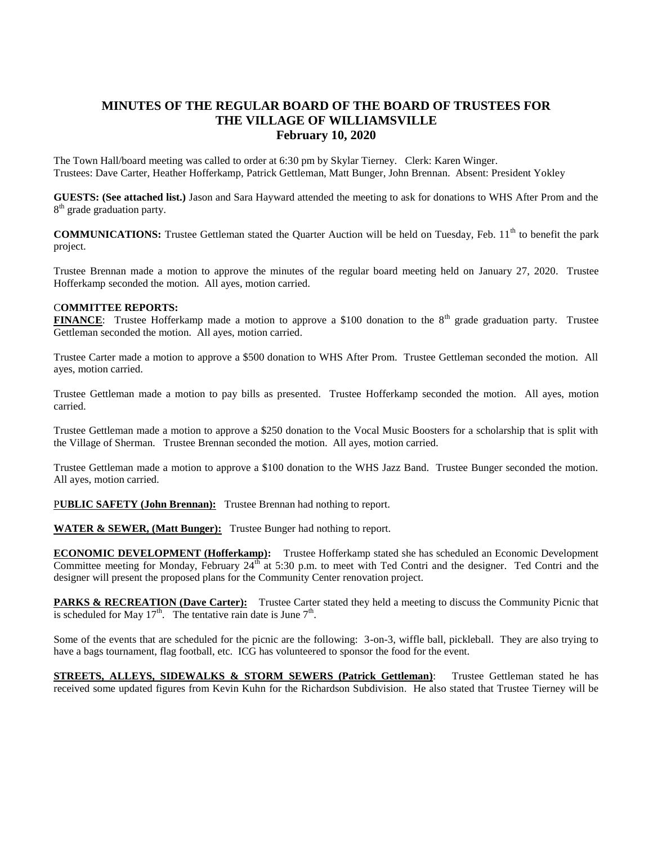## **MINUTES OF THE REGULAR BOARD OF THE BOARD OF TRUSTEES FOR THE VILLAGE OF WILLIAMSVILLE February 10, 2020**

The Town Hall/board meeting was called to order at 6:30 pm by Skylar Tierney. Clerk: Karen Winger. Trustees: Dave Carter, Heather Hofferkamp, Patrick Gettleman, Matt Bunger, John Brennan. Absent: President Yokley

**GUESTS: (See attached list.)** Jason and Sara Hayward attended the meeting to ask for donations to WHS After Prom and the 8<sup>th</sup> grade graduation party.

**COMMUNICATIONS:** Trustee Gettleman stated the Quarter Auction will be held on Tuesday, Feb. 11<sup>th</sup> to benefit the park project.

Trustee Brennan made a motion to approve the minutes of the regular board meeting held on January 27, 2020. Trustee Hofferkamp seconded the motion. All ayes, motion carried.

## C**OMMITTEE REPORTS:**

**FINANCE**: Trustee Hofferkamp made a motion to approve a \$100 donation to the 8<sup>th</sup> grade graduation party. Trustee Gettleman seconded the motion. All ayes, motion carried.

Trustee Carter made a motion to approve a \$500 donation to WHS After Prom. Trustee Gettleman seconded the motion. All ayes, motion carried.

Trustee Gettleman made a motion to pay bills as presented. Trustee Hofferkamp seconded the motion. All ayes, motion carried.

Trustee Gettleman made a motion to approve a \$250 donation to the Vocal Music Boosters for a scholarship that is split with the Village of Sherman. Trustee Brennan seconded the motion. All ayes, motion carried.

Trustee Gettleman made a motion to approve a \$100 donation to the WHS Jazz Band. Trustee Bunger seconded the motion. All ayes, motion carried.

PUBLIC SAFETY (John Brennan): Trustee Brennan had nothing to report.

**WATER & SEWER, (Matt Bunger):** Trustee Bunger had nothing to report.

**ECONOMIC DEVELOPMENT (Hofferkamp):** Trustee Hofferkamp stated she has scheduled an Economic Development Committee meeting for Monday, February  $24<sup>th</sup>$  at 5:30 p.m. to meet with Ted Contri and the designer. Ted Contri and the designer will present the proposed plans for the Community Center renovation project.

**PARKS & RECREATION (Dave Carter):** Trustee Carter stated they held a meeting to discuss the Community Picnic that is scheduled for May 17<sup>th</sup>. The tentative rain date is June  $7<sup>th</sup>$ .

Some of the events that are scheduled for the picnic are the following: 3-on-3, wiffle ball, pickleball. They are also trying to have a bags tournament, flag football, etc. ICG has volunteered to sponsor the food for the event.

**STREETS, ALLEYS, SIDEWALKS & STORM SEWERS (Patrick Gettleman)**: Trustee Gettleman stated he has received some updated figures from Kevin Kuhn for the Richardson Subdivision. He also stated that Trustee Tierney will be